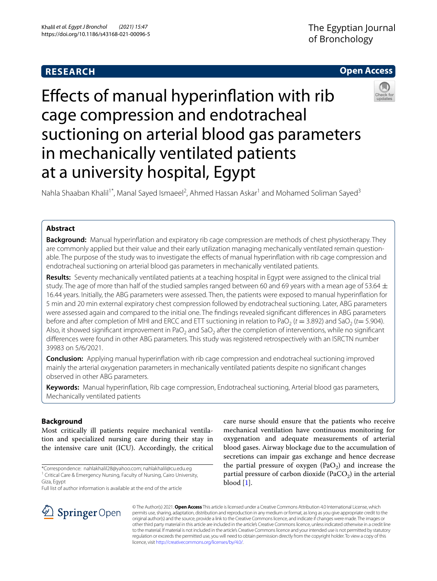# **RESEARCH**

## **Open Access**

# Efects of manual hyperinfation with rib cage compression and endotracheal suctioning on arterial blood gas parameters in mechanically ventilated patients at a university hospital, Egypt



## **Abstract**

**Background:** Manual hyperinfation and expiratory rib cage compression are methods of chest physiotherapy. They are commonly applied but their value and their early utilization managing mechanically ventilated remain questionable. The purpose of the study was to investigate the effects of manual hyperinflation with rib cage compression and endotracheal suctioning on arterial blood gas parameters in mechanically ventilated patients.

**Results:** Seventy mechanically ventilated patients at a teaching hospital in Egypt were assigned to the clinical trial study. The age of more than half of the studied samples ranged between 60 and 69 years with a mean age of 53.64  $\pm$ 16.44 years. Initially, the ABG parameters were assessed. Then, the patients were exposed to manual hyperinfation for 5 min and 20 min external expiratory chest compression followed by endotracheal suctioning. Later, ABG parameters were assessed again and compared to the initial one. The fndings revealed signifcant diferences in ABG parameters before and after completion of MHI and ERCC and ETT suctioning in relation to PaO<sub>2</sub> ( $t = 3.892$ ) and SaO<sub>2</sub> ( $t = 5.904$ ). Also, it showed significant improvement in PaO<sub>2</sub> and SaO<sub>2</sub> after the completion of interventions, while no significant diferences were found in other ABG parameters. This study was registered retrospectively with an ISRCTN number 39983 on 5/6/2021.

**Conclusion:** Applying manual hyperinfation with rib cage compression and endotracheal suctioning improved mainly the arterial oxygenation parameters in mechanically ventilated patients despite no signifcant changes observed in other ABG parameters.

**Keywords:** Manual hyperinfation, Rib cage compression, Endotracheal suctioning, Arterial blood gas parameters, Mechanically ventilated patients

## **Background**

Most critically ill patients require mechanical ventilation and specialized nursing care during their stay in the intensive care unit (ICU). Accordingly, the critical

\*Correspondence: nahlakhalil28@yahoo.com; nahlakhalil@cu.edu.eg <sup>1</sup> Critical Care & Emergency Nursing, Faculty of Nursing, Cairo University, Giza, Egypt

Full list of author information is available at the end of the article

care nurse should ensure that the patients who receive mechanical ventilation have continuous monitoring for oxygenation and adequate measurements of arterial blood gases. Airway blockage due to the accumulation of secretions can impair gas exchange and hence decrease the partial pressure of oxygen  $(PaO<sub>2</sub>)$  and increase the partial pressure of carbon dioxide (PaCO<sub>2</sub>) in the arterial blood [[1\]](#page-5-0).



© The Author(s) 2021. **Open Access** This article is licensed under a Creative Commons Attribution 4.0 International License, which permits use, sharing, adaptation, distribution and reproduction in any medium or format, as long as you give appropriate credit to the original author(s) and the source, provide a link to the Creative Commons licence, and indicate if changes were made. The images or other third party material in this article are included in the article's Creative Commons licence, unless indicated otherwise in a credit line to the material. If material is not included in the article's Creative Commons licence and your intended use is not permitted by statutory regulation or exceeds the permitted use, you will need to obtain permission directly from the copyright holder. To view a copy of this licence, visit [http://creativecommons.org/licenses/by/4.0/.](http://creativecommons.org/licenses/by/4.0/)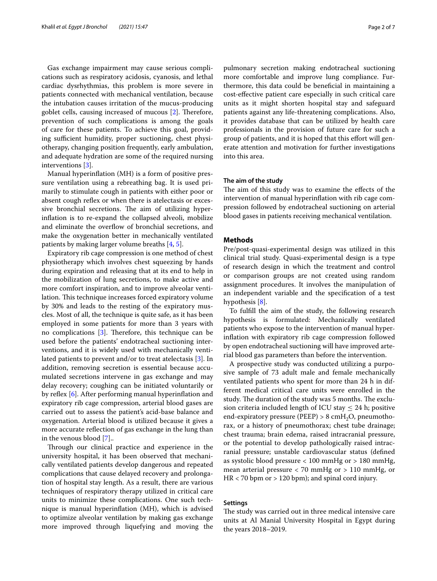Gas exchange impairment may cause serious complications such as respiratory acidosis, cyanosis, and lethal cardiac dysrhythmias, this problem is more severe in patients connected with mechanical ventilation, because the intubation causes irritation of the mucus-producing goblet cells, causing increased of mucous  $[2]$ . Therefore, prevention of such complications is among the goals of care for these patients. To achieve this goal, providing sufficient humidity, proper suctioning, chest physiotherapy, changing position frequently, early ambulation, and adequate hydration are some of the required nursing interventions [[3](#page-5-2)].

Manual hyperinfation (MH) is a form of positive pressure ventilation using a rebreathing bag. It is used primarily to stimulate cough in patients with either poor or absent cough reflex or when there is atelectasis or excessive bronchial secretions. The aim of utilizing hyperinfation is to re-expand the collapsed alveoli, mobilize and eliminate the overflow of bronchial secretions, and make the oxygenation better in mechanically ventilated patients by making larger volume breaths [\[4](#page-5-3), [5\]](#page-5-4).

Expiratory rib cage compression is one method of chest physiotherapy which involves chest squeezing by hands during expiration and releasing that at its end to help in the mobilization of lung secretions, to make active and more comfort inspiration, and to improve alveolar ventilation. This technique increases forced expiratory volume by 30% and leads to the resting of the expiratory muscles. Most of all, the technique is quite safe, as it has been employed in some patients for more than 3 years with no complications  $[3]$  $[3]$  $[3]$ . Therefore, this technique can be used before the patients' endotracheal suctioning interventions, and it is widely used with mechanically ventilated patients to prevent and/or to treat atelectasis [[3\]](#page-5-2). In addition, removing secretion is essential because accumulated secretions intervene in gas exchange and may delay recovery; coughing can be initiated voluntarily or by reflex  $[6]$  $[6]$ . After performing manual hyperinflation and expiratory rib cage compression, arterial blood gases are carried out to assess the patient's acid-base balance and oxygenation. Arterial blood is utilized because it gives a more accurate refection of gas exchange in the lung than in the venous blood [[7](#page-5-6)]..

Through our clinical practice and experience in the university hospital, it has been observed that mechanically ventilated patients develop dangerous and repeated complications that cause delayed recovery and prolongation of hospital stay length. As a result, there are various techniques of respiratory therapy utilized in critical care units to minimize these complications. One such technique is manual hyperinfation (MH), which is advised to optimize alveolar ventilation by making gas exchange more improved through liquefying and moving the pulmonary secretion making endotracheal suctioning more comfortable and improve lung compliance. Furthermore, this data could be benefcial in maintaining a cost-efective patient care especially in such critical care units as it might shorten hospital stay and safeguard patients against any life-threatening complications. Also, it provides database that can be utilized by health care professionals in the provision of future care for such a group of patients, and it is hoped that this effort will generate attention and motivation for further investigations into this area.

## **The aim of the study**

The aim of this study was to examine the effects of the intervention of manual hyperinfation with rib cage compression followed by endotracheal suctioning on arterial blood gases in patients receiving mechanical ventilation.

## **Methods**

Pre/post-quasi-experimental design was utilized in this clinical trial study. Quasi-experimental design is a type of research design in which the treatment and control or comparison groups are not created using random assignment procedures. It involves the manipulation of an independent variable and the specifcation of a test hypothesis [\[8\]](#page-5-7).

To fulfll the aim of the study, the following research hypothesis is formulated: Mechanically ventilated patients who expose to the intervention of manual hyperinfation with expiratory rib cage compression followed by open endotracheal suctioning will have improved arterial blood gas parameters than before the intervention.

A prospective study was conducted utilizing a purposive sample of 73 adult male and female mechanically ventilated patients who spent for more than 24 h in different medical critical care units were enrolled in the study. The duration of the study was 5 months. The exclusion criteria included length of ICU stay  $\leq$  24 h; positive end-expiratory pressure (PEEP)  $> 8 \text{ cm}$ H<sub>2</sub>O, pneumothorax, or a history of pneumothorax; chest tube drainage; chest trauma; brain edema, raised intracranial pressure, or the potential to develop pathologically raised intracranial pressure; unstable cardiovascular status (defned as systolic blood pressure < 100 mmHg or > 180 mmHg, mean arterial pressure < 70 mmHg or > 110 mmHg, or HR < 70 bpm or > 120 bpm); and spinal cord injury.

## **Settings**

The study was carried out in three medical intensive care units at Al Manial University Hospital in Egypt during the years 2018–2019.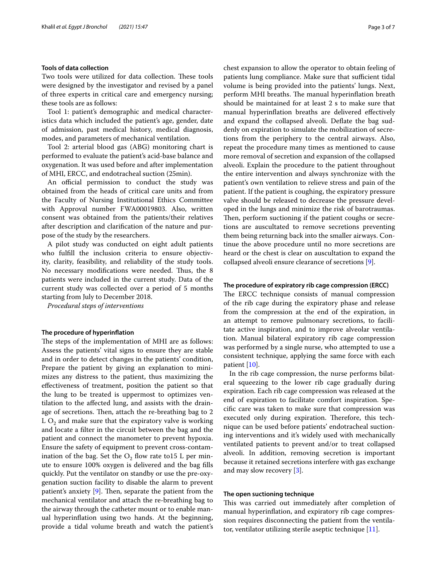## **Tools of data collection**

Two tools were utilized for data collection. These tools were designed by the investigator and revised by a panel of three experts in critical care and emergency nursing; these tools are as follows:

Tool 1: patient's demographic and medical characteristics data which included the patient's age, gender, date of admission, past medical history, medical diagnosis, modes, and parameters of mechanical ventilation.

Tool 2: arterial blood gas (ABG) monitoring chart is performed to evaluate the patient's acid-base balance and oxygenation. It was used before and after implementation of MHI, ERCC, and endotracheal suction (25min).

An official permission to conduct the study was obtained from the heads of critical care units and from the Faculty of Nursing Institutional Ethics Committee with Approval number FWA00019803. Also, written consent was obtained from the patients/their relatives after description and clarifcation of the nature and purpose of the study by the researchers.

A pilot study was conducted on eight adult patients who fulfll the inclusion criteria to ensure objectivity, clarity, feasibility, and reliability of the study tools. No necessary modifications were needed. Thus, the 8 patients were included in the current study. Data of the current study was collected over a period of 5 months starting from July to December 2018.

*Procedural steps of interventions*

#### **The procedure of hyperinfation**

The steps of the implementation of MHI are as follows: Assess the patients' vital signs to ensure they are stable and in order to detect changes in the patients' condition, Prepare the patient by giving an explanation to minimizes any distress to the patient, thus maximizing the efectiveness of treatment, position the patient so that the lung to be treated is uppermost to optimizes ventilation to the afected lung, and assists with the drainage of secretions. Then, attach the re-breathing bag to 2 L  $O<sub>2</sub>$  and make sure that the expiratory valve is working and locate a flter in the circuit between the bag and the patient and connect the manometer to prevent hypoxia. Ensure the safety of equipment to prevent cross-contamination of the bag. Set the  $O_2$  flow rate to 15 L per minute to ensure 100% oxygen is delivered and the bag flls quickly. Put the ventilator on standby or use the pre-oxygenation suction facility to disable the alarm to prevent patient's anxiety  $[9]$  $[9]$ . Then, separate the patient from the mechanical ventilator and attach the re-breathing bag to the airway through the catheter mount or to enable manual hyperinfation using two hands. At the beginning, provide a tidal volume breath and watch the patient's chest expansion to allow the operator to obtain feeling of patients lung compliance. Make sure that sufficient tidal volume is being provided into the patients' lungs. Next, perform MHI breaths. The manual hyperinflation breath should be maintained for at least 2 s to make sure that manual hyperinfation breaths are delivered efectively and expand the collapsed alveoli. Defate the bag suddenly on expiration to simulate the mobilization of secretions from the periphery to the central airways. Also, repeat the procedure many times as mentioned to cause more removal of secretion and expansion of the collapsed alveoli. Explain the procedure to the patient throughout the entire intervention and always synchronize with the patient's own ventilation to relieve stress and pain of the patient. If the patient is coughing, the expiratory pressure valve should be released to decrease the pressure developed in the lungs and minimize the risk of barotraumas. Then, perform suctioning if the patient coughs or secretions are auscultated to remove secretions preventing them being returning back into the smaller airways. Continue the above procedure until no more secretions are heard or the chest is clear on auscultation to expand the collapsed alveoli ensure clearance of secretions [\[9](#page-5-8)].

## **The procedure of expiratory rib cage compression (ERCC)**

The ERCC technique consists of manual compression of the rib cage during the expiratory phase and release from the compression at the end of the expiration, in an attempt to remove pulmonary secretions, to facilitate active inspiration, and to improve alveolar ventilation. Manual bilateral expiratory rib cage compression was performed by a single nurse, who attempted to use a consistent technique, applying the same force with each patient [[10\]](#page-5-9).

In the rib cage compression, the nurse performs bilateral squeezing to the lower rib cage gradually during expiration. Each rib cage compression was released at the end of expiration to facilitate comfort inspiration. Specifc care was taken to make sure that compression was executed only during expiration. Therefore, this technique can be used before patients' endotracheal suctioning interventions and it's widely used with mechanically ventilated patients to prevent and/or to treat collapsed alveoli. In addition, removing secretion is important because it retained secretions interfere with gas exchange and may slow recovery [\[3](#page-5-2)].

## **The open suctioning technique**

This was carried out immediately after completion of manual hyperinfation, and expiratory rib cage compression requires disconnecting the patient from the ventilator, ventilator utilizing sterile aseptic technique [[11](#page-5-10)].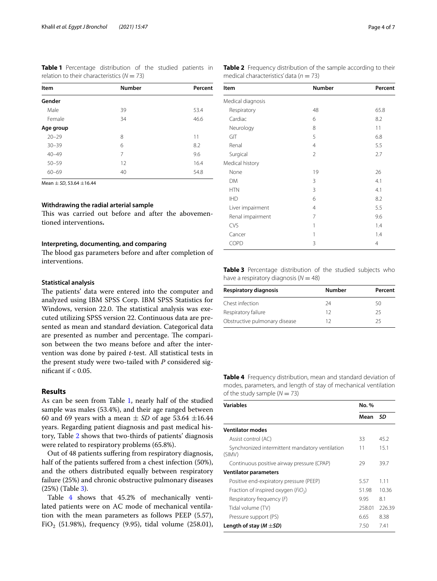<span id="page-3-0"></span>**Table 1** Percentage distribution of the studied patients in relation to their characteristics (*N* = 73)

| Item      | <b>Number</b> |      |
|-----------|---------------|------|
| Gender    |               |      |
| Male      | 39            | 53.4 |
| Female    | 34            | 46.6 |
| Age group |               |      |
| $20 - 29$ | 8             | 11   |
| $30 - 39$ | 6             | 8.2  |
| $40 - 49$ | 7             | 9.6  |
| $50 - 59$ | 12            | 16.4 |
| $60 - 69$ | 40            | 54.8 |

Mean ± *SD*, 53.64 ±16.44

## **Withdrawing the radial arterial sample**

This was carried out before and after the abovementioned interventions**.**

## **Interpreting, documenting, and comparing**

The blood gas parameters before and after completion of interventions.

## **Statistical analysis**

The patients' data were entered into the computer and analyzed using IBM SPSS Corp. IBM SPSS Statistics for Windows, version 22.0. The statistical analysis was executed utilizing SPSS version 22. Continuous data are presented as mean and standard deviation. Categorical data are presented as number and percentage. The comparison between the two means before and after the intervention was done by paired *t*-test. All statistical tests in the present study were two-tailed with *P* considered significant if  $\epsilon$  0.05.

## **Results**

As can be seen from Table [1,](#page-3-0) nearly half of the studied sample was males (53.4%), and their age ranged between 60 and 69 years with a mean  $\pm$  *SD* of age 53.64  $\pm$ 16.44 years. Regarding patient diagnosis and past medical history, Table [2](#page-3-1) shows that two-thirds of patients' diagnosis were related to respiratory problems (65.8%).

Out of 48 patients sufering from respiratory diagnosis, half of the patients suffered from a chest infection (50%), and the others distributed equally between respiratory failure (25%) and chronic obstructive pulmonary diseases (25%) (Table [3\)](#page-3-2).

Table [4](#page-3-3) shows that 45.2% of mechanically ventilated patients were on AC mode of mechanical ventilation with the mean parameters as follows PEEP (5.57), FiO<sub>2</sub> (51.98%), frequency (9.95), tidal volume (258.01), <span id="page-3-1"></span>**Table 2** Frequency distribution of the sample according to their medical characteristics' data ( $n = 73$ )

| Item              | <b>Number</b>  | Percent |
|-------------------|----------------|---------|
| Medical diagnosis |                |         |
| Respiratory       | 48             | 65.8    |
| Cardiac           | 6              | 8.2     |
| Neurology         | 8              | 11      |
| GIT               | 5              | 6.8     |
| Renal             | $\overline{4}$ | 5.5     |
| Surgical          | $\overline{2}$ | 2.7     |
| Medical history   |                |         |
| None              | 19             | 26      |
| <b>DM</b>         | 3              | 4.1     |
| <b>HTN</b>        | 3              | 4.1     |
| <b>IHD</b>        | 6              | 8.2     |
| Liver impairment  | $\overline{4}$ | 5.5     |
| Renal impairment  | 7              | 9.6     |
| CVS               | 1              | 1.4     |
| Cancer            | 1              | 1.4     |
| COPD              | 3              | 4       |

<span id="page-3-2"></span>**Table 3** Percentage distribution of the studied subjects who have a respiratory diagnosis ( $N = 48$ )

| Respiratory diagnosis         | Number | Percent |  |
|-------------------------------|--------|---------|--|
| Chest infection               | 24     | 50      |  |
| Respiratory failure           | 12     | 25      |  |
| Obstructive pulmonary disease | 1 フ    | 25      |  |

<span id="page-3-3"></span>**Table 4** Frequency distribution, mean and standard deviation of modes, parameters, and length of stay of mechanical ventilation of the study sample  $(N = 73)$ 

| <b>Variables</b>                                          | No. %  |        |  |
|-----------------------------------------------------------|--------|--------|--|
|                                                           | Mean   | SD     |  |
| <b>Ventilator modes</b>                                   |        |        |  |
| Assist control (AC)                                       | 33     | 45.2   |  |
| Synchronized intermittent mandatory ventilation<br>(SIMV) | 11     | 15.1   |  |
| Continuous positive airway pressure (CPAP)                | 29     | 39.7   |  |
| <b>Ventilator parameters</b>                              |        |        |  |
| Positive end-expiratory pressure (PEEP)                   | 5.57   | 1.11   |  |
| Fraction of inspired oxygen (FiO <sub>2</sub> )           | 51.98  | 10.36  |  |
| Respiratory frequency (F)                                 | 9.95   | 8.1    |  |
| Tidal volume (TV)                                         | 258.01 | 226.39 |  |
| Pressure support (PS)                                     | 6.65   | 8.38   |  |
| Length of stay ( $M \pm SD$ )                             | 7.50   | 7.41   |  |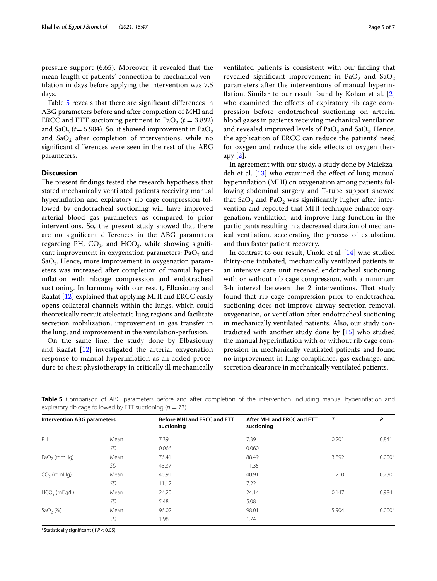pressure support (6.65). Moreover, it revealed that the mean length of patients' connection to mechanical ventilation in days before applying the intervention was 7.5 days.

Table [5](#page-4-0) reveals that there are signifcant diferences in ABG parameters before and after completion of MHI and ERCC and ETT suctioning pertinent to  $PaO<sub>2</sub>$  ( $t = 3.892$ ) and SaO<sub>2</sub> ( $t=$  5.904). So, it showed improvement in PaO<sub>2</sub> and  $SaO<sub>2</sub>$  after completion of interventions, while no signifcant diferences were seen in the rest of the ABG parameters.

## **Discussion**

The present findings tested the research hypothesis that stated mechanically ventilated patients receiving manual hyperinfation and expiratory rib cage compression followed by endotracheal suctioning will have improved arterial blood gas parameters as compared to prior interventions. So, the present study showed that there are no signifcant diferences in the ABG parameters regarding PH,  $CO<sub>2</sub>$ , and  $HCO<sub>3</sub>$ , while showing significant improvement in oxygenation parameters:  $PaO<sub>2</sub>$  and  $SaO<sub>2</sub>$ . Hence, more improvement in oxygenation parameters was increased after completion of manual hyperinfation with ribcage compression and endotracheal suctioning. In harmony with our result, Elbasiouny and Raafat [[12\]](#page-5-11) explained that applying MHI and ERCC easily opens collateral channels within the lungs, which could theoretically recruit atelectatic lung regions and facilitate secretion mobilization, improvement in gas transfer in the lung, and improvement in the ventilation-perfusion.

On the same line, the study done by Elbasiouny and Raafat [[12](#page-5-11)] investigated the arterial oxygenation response to manual hyperinfation as an added procedure to chest physiotherapy in critically ill mechanically ventilated patients is consistent with our fnding that revealed significant improvement in PaO<sub>2</sub> and SaO<sub>2</sub> parameters after the interventions of manual hyperinfation. Similar to our result found by Kohan et al. [\[2](#page-5-1)] who examined the efects of expiratory rib cage compression before endotracheal suctioning on arterial blood gases in patients receiving mechanical ventilation and revealed improved levels of  $PaO<sub>2</sub>$  and  $SaO<sub>2</sub>$ . Hence, the application of ERCC can reduce the patients' need for oxygen and reduce the side efects of oxygen therapy [[2](#page-5-1)].

In agreement with our study, a study done by Malekzadeh et al.  $[13]$  $[13]$  who examined the effect of lung manual hyperinfation (MHI) on oxygenation among patients following abdominal surgery and T-tube support showed that  $SaO<sub>2</sub>$  and Pa $O<sub>2</sub>$  was significantly higher after intervention and reported that MHI technique enhance oxygenation, ventilation, and improve lung function in the participants resulting in a decreased duration of mechanical ventilation, accelerating the process of extubation, and thus faster patient recovery.

In contrast to our result, Unoki et al. [\[14\]](#page-5-13) who studied thirty-one intubated, mechanically ventilated patients in an intensive care unit received endotracheal suctioning with or without rib cage compression, with a minimum 3-h interval between the 2 interventions. That study found that rib cage compression prior to endotracheal suctioning does not improve airway secretion removal, oxygenation, or ventilation after endotracheal suctioning in mechanically ventilated patients. Also, our study contradicted with another study done by [\[15](#page-5-14)] who studied the manual hyperinfation with or without rib cage compression in mechanically ventilated patients and found no improvement in lung compliance, gas exchange, and secretion clearance in mechanically ventilated patients.

| <b>Intervention ABG parameters</b> |      | Before MHI and ERCC and ETT<br>suctioning | After MHI and ERCC and ETT<br>suctioning | $\tau$ | P        |
|------------------------------------|------|-------------------------------------------|------------------------------------------|--------|----------|
| PH                                 | Mean | 7.39                                      | 7.39                                     | 0.201  | 0.841    |
|                                    | SD   | 0.066                                     | 0.060                                    |        |          |
| $PaO2$ (mmHg)                      | Mean | 76.41                                     | 88.49                                    | 3.892  | $0.000*$ |
|                                    | SD.  | 43.37                                     | 11.35                                    |        |          |
| $CO2$ (mmHg)                       | Mean | 40.91                                     | 40.91                                    | 1.210  | 0.230    |
|                                    | SD   | 11.12                                     | 7.22                                     |        |          |
| $HCO3$ (mEq/L)                     | Mean | 24.20                                     | 24.14                                    | 0.147  | 0.984    |
|                                    | SD   | 5.48                                      | 5.08                                     |        |          |
| SaO <sub>2</sub> (%)               | Mean | 96.02                                     | 98.01                                    | 5.904  | $0.000*$ |
|                                    | SD.  | 1.98                                      | 1.74                                     |        |          |

<span id="page-4-0"></span>**Table 5** Comparison of ABG parameters before and after completion of the intervention including manual hyperinflation and expiratory rib cage followed by ETT suctioning ( $n = 73$ )

\*Statistically signifcant (if *P* < 0.05)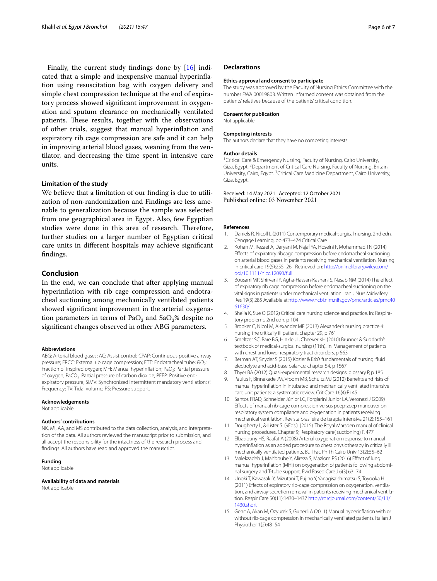Finally, the current study fndings done by [[16\]](#page-6-0) indicated that a simple and inexpensive manual hyperinfation using resuscitation bag with oxygen delivery and simple chest compression technique at the end of expiratory process showed signifcant improvement in oxygenation and sputum clearance on mechanically ventilated patients. These results, together with the observations of other trials, suggest that manual hyperinfation and expiratory rib cage compression are safe and it can help in improving arterial blood gases, weaning from the ventilator, and decreasing the time spent in intensive care units.

## **Limitation of the study**

We believe that a limitation of our fnding is due to utilization of non-randomization and Findings are less amenable to generalization because the sample was selected from one geographical area in Egypt. Also, few Egyptian studies were done in this area of research. Therefore, further studies on a larger number of Egyptian critical care units in diferent hospitals may achieve signifcant fndings.

## **Conclusion**

In the end, we can conclude that after applying manual hyperinfation with rib cage compression and endotracheal suctioning among mechanically ventilated patients showed signifcant improvement in the arterial oxygenation parameters in terms of  $PaO<sub>2</sub>$  and  $SaO<sub>2</sub>$ % despite no signifcant changes observed in other ABG parameters.

## **Abbreviations**

ABG: Arterial blood gases; AC: Assist control; CPAP: Continuous positive airway pressure; ERCC: External rib cage compression; ETT: Endotracheal tube; FiO<sub>2</sub>: Fraction of inspired oxygen; MH: Manual hyperinflation; PaO<sub>2</sub>: Partial pressure of oxygen; PaCO<sub>2</sub>: Partial pressure of carbon dioxide; PEEP: Positive endexpiratory pressure; SIMV: Synchronized intermittent mandatory ventilation; *F*: Frequency; TV: Tidal volume; PS: Pressure support.

#### **Acknowledgements**

Not applicable.

#### **Authors' contributions**

NK, MI, AA, and MS contributed to the data collection, analysis, and interpretation of the data. All authors reviewed the manuscript prior to submission, and all accept the responsibility for the intactness of the research process and fndings. All authors have read and approved the manuscript.

## **Funding**

Not applicable

#### **Availability of data and materials**

Not applicable

## **Declarations**

#### **Ethics approval and consent to participate**

The study was approved by the Faculty of Nursing Ethics Committee with the number FWA 00019803. Written informed consent was obtained from the patients' relatives because of the patients' critical condition.

#### **Consent for publication**

Not applicable

## **Competing interests**

The authors declare that they have no competing interests.

#### **Author details**

<sup>1</sup> Critical Care & Emergency Nursing, Faculty of Nursing, Cairo University, Giza, Egypt.<sup>2</sup> Department of Critical Care Nursing, Faculty of Nursing, Britain University, Cairo, Egypt. <sup>3</sup> Critical Care Medicine Department, Cairo University, Giza, Egypt.

## Received: 14 May 2021 Accepted: 12 October 2021 Published online: 03 November 2021

#### **References**

- <span id="page-5-0"></span>1. Daniels R, Nicoll L (2011) Contemporary medical-surgical nursing, 2nd edn. Cengage Learning, pp 473–474 Critical Care
- <span id="page-5-1"></span>2. Kohan M, Rezaei A, Daryani M, Najaf YA, Hoseini F, Mohammad TN (2014) Efects of expiratory ribcage compression before endotracheal suctioning on arterial blood gases in patients receiving mechanical ventilation. Nursing in critical care 19(5):255–261 Retrieved on: [http://onlinelibrary.wiley.com/](http://onlinelibrary.wiley.com/doi/10.1111/nicc.12090/full) [doi/10.1111/nicc.12090/full](http://onlinelibrary.wiley.com/doi/10.1111/nicc.12090/full)
- <span id="page-5-2"></span>3. Bousarri MP, Shirvani Y, Agha-Hassan-Kashani S, Nasab NM (2014) The efect of expiratory rib cage compression before endotracheal suctioning on the vital signs in patients under mechanical ventilation. Iran J Nurs Midwifery Res 19(3):285 Available at[:http://www.ncbi.nlm.nih.gov/pmc/articles/pmc40](http://www.ncbi.nlm.nih.gov/pmc/articles/PMC4061630/) [61630/](http://www.ncbi.nlm.nih.gov/pmc/articles/PMC4061630/)
- <span id="page-5-3"></span>4. Sheila K, Sue O (2012) Critical care nursing science and practice. In: Respiratory problems, 2nd edn, p 104
- <span id="page-5-4"></span>5. Brooker C, Nicol M, Alexander MF (2013) Alexander's nursing practice 4: nursing the critically ill patient, chapter 29, p 761
- <span id="page-5-5"></span>6. Smeltzer SC, Bare BG, Hinkle JL, Cheever KH (2010) Brunner & Suddarth's textbook of medical-surgical nursing (11th). In: Management of patients with chest and lower respiratory tract disorders, p 563
- <span id="page-5-6"></span>7. Berman AT, Snyder S (2015) Kozier & Erb's fundamentals of nursing: fuid electrolyte and acid-base balance: chapter 54, p 1567
- <span id="page-5-7"></span>8. Thyer BA (2012) Quasi-experimental research designs: glossary P, p 185
- <span id="page-5-8"></span>9. Paulus F, Binnekade JM, Vroom MB, Schultz MJ (2012) Benefts and risks of manual hyperinfation in intubated and mechanically ventilated intensive care unit patients: a systematic review. Crit Care 16(4):R145
- <span id="page-5-9"></span>10. Santos FRAD, Schneider Júnior LC, Forgiarini Junior LA, Veronezi J (2009) Efects of manual rib-cage compression versus peep-zeep maneuver on respiratory system compliance and oxygenation in patients receiving mechanical ventilation. Revista brasileira de terapia intensiva 21(2):155–161
- <span id="page-5-10"></span>11. Dougherty L, & Lister S. (9Eds.). (2015). The Royal Marsden manual of clinical nursing procedures. Chapter 9; Respiratory care( suctioning) P. 477
- <span id="page-5-11"></span>12. Elbasiouny HS, Raafat A (2008) Arterial oxygenation response to manual hyperinfation as an added procedure to chest physiotherapy in critically ill mechanically ventilated patients. Bull Fac Ph Th Cairo Univ 13(2):55–62
- <span id="page-5-12"></span>13. Malekzadeh J, Mahboube Y, Alireza S, Mazlom RS (2016) Effect of lung manual hyperinfation (MHI) on oxygenation of patients following abdominal surgery and T-tube support. Evid Based Care J 6(3):63–74
- <span id="page-5-13"></span>14. Unoki T, Kawasaki Y, Mizutani T, Fujino Y, YanagisaIshimatsu S, Toyooka H (2011) Efects of expiratory rib-cage compression on oxygenation, ventilation, and airway-secretion removal in patients receiving mechanical ventilation. Respir Care 50(11):1430–1437 [http://rc.rcjournal.com/content/50/11/](http://rc.rcjournal.com/content/50/11/1430.short) [1430.short](http://rc.rcjournal.com/content/50/11/1430.short)
- <span id="page-5-14"></span>15. Genc A, Akan M, Ozyurek S, Gunerli A (2011) Manual hyperinfation with or without rib-cage compression in mechanically ventilated patients. Italian J Physiother 1(2):48–54